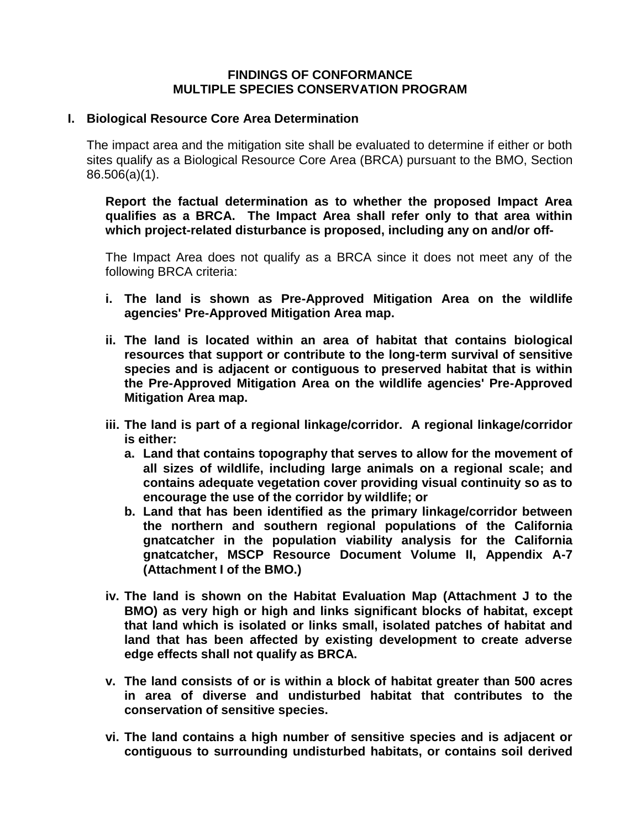### **FINDINGS OF CONFORMANCE MULTIPLE SPECIES CONSERVATION PROGRAM**

#### **I. Biological Resource Core Area Determination**

The impact area and the mitigation site shall be evaluated to determine if either or both sites qualify as a Biological Resource Core Area (BRCA) pursuant to the BMO, Section 86.506(a)(1).

**Report the factual determination as to whether the proposed Impact Area qualifies as a BRCA. The Impact Area shall refer only to that area within which project-related disturbance is proposed, including any on and/or off-**

The Impact Area does not qualify as a BRCA since it does not meet any of the following BRCA criteria:

- **i. The land is shown as Pre-Approved Mitigation Area on the wildlife agencies' Pre-Approved Mitigation Area map.**
- **ii. The land is located within an area of habitat that contains biological resources that support or contribute to the long-term survival of sensitive species and is adjacent or contiguous to preserved habitat that is within the Pre-Approved Mitigation Area on the wildlife agencies' Pre-Approved Mitigation Area map.**
- **iii. The land is part of a regional linkage/corridor. A regional linkage/corridor is either:** 
	- **a. Land that contains topography that serves to allow for the movement of all sizes of wildlife, including large animals on a regional scale; and contains adequate vegetation cover providing visual continuity so as to encourage the use of the corridor by wildlife; or**
	- **b. Land that has been identified as the primary linkage/corridor between the northern and southern regional populations of the California gnatcatcher in the population viability analysis for the California gnatcatcher, MSCP Resource Document Volume II, Appendix A-7 (Attachment I of the BMO.)**
- **iv. The land is shown on the Habitat Evaluation Map (Attachment J to the BMO) as very high or high and links significant blocks of habitat, except that land which is isolated or links small, isolated patches of habitat and land that has been affected by existing development to create adverse edge effects shall not qualify as BRCA.**
- **v. The land consists of or is within a block of habitat greater than 500 acres in area of diverse and undisturbed habitat that contributes to the conservation of sensitive species.**
- **vi. The land contains a high number of sensitive species and is adjacent or contiguous to surrounding undisturbed habitats, or contains soil derived**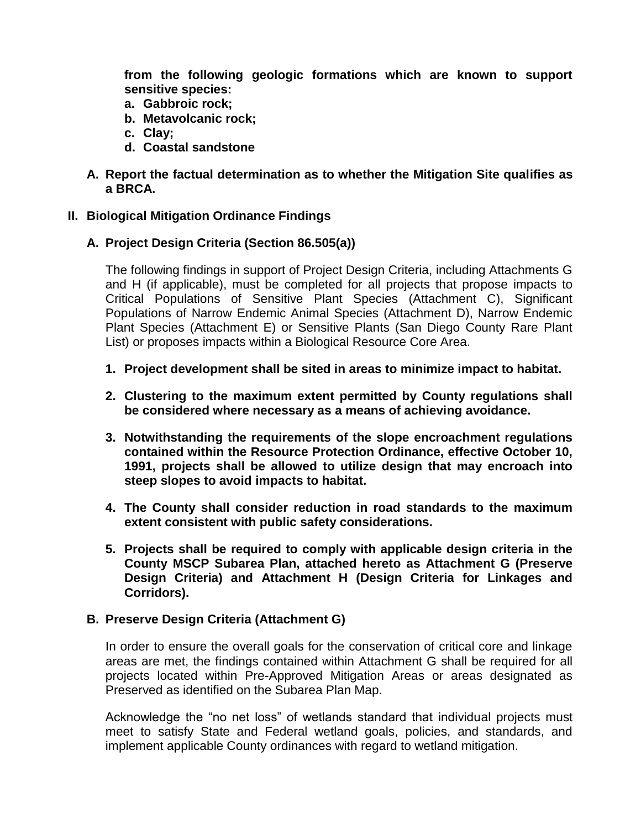**from the following geologic formations which are known to support sensitive species:**

- **a. Gabbroic rock;**
- **b. Metavolcanic rock;**
- **c. Clay;**
- **d. Coastal sandstone**
- **A. Report the factual determination as to whether the Mitigation Site qualifies as a BRCA.**

# **II. Biological Mitigation Ordinance Findings**

# **A. Project Design Criteria (Section 86.505(a))**

The following findings in support of Project Design Criteria, including Attachments G and H (if applicable), must be completed for all projects that propose impacts to Critical Populations of Sensitive Plant Species (Attachment C), Significant Populations of Narrow Endemic Animal Species (Attachment D), Narrow Endemic Plant Species (Attachment E) or Sensitive Plants (San Diego County Rare Plant List) or proposes impacts within a Biological Resource Core Area.

- **1. Project development shall be sited in areas to minimize impact to habitat.**
- **2. Clustering to the maximum extent permitted by County regulations shall be considered where necessary as a means of achieving avoidance.**
- **3. Notwithstanding the requirements of the slope encroachment regulations contained within the Resource Protection Ordinance, effective October 10, 1991, projects shall be allowed to utilize design that may encroach into steep slopes to avoid impacts to habitat.**
- **4. The County shall consider reduction in road standards to the maximum extent consistent with public safety considerations.**
- **5. Projects shall be required to comply with applicable design criteria in the County MSCP Subarea Plan, attached hereto as Attachment G (Preserve Design Criteria) and Attachment H (Design Criteria for Linkages and Corridors).**

#### **B. Preserve Design Criteria (Attachment G)**

In order to ensure the overall goals for the conservation of critical core and linkage areas are met, the findings contained within Attachment G shall be required for all projects located within Pre-Approved Mitigation Areas or areas designated as Preserved as identified on the Subarea Plan Map.

Acknowledge the "no net loss" of wetlands standard that individual projects must meet to satisfy State and Federal wetland goals, policies, and standards, and implement applicable County ordinances with regard to wetland mitigation.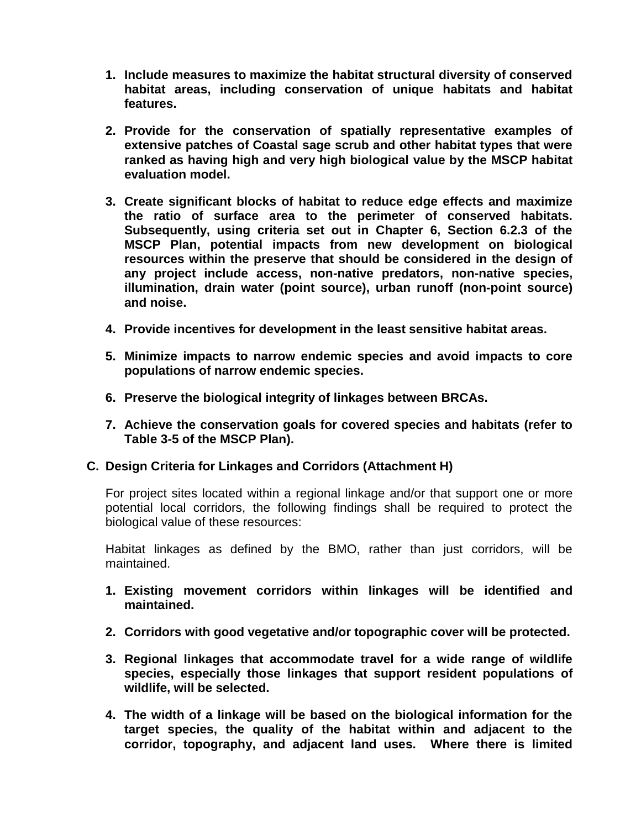- **1. Include measures to maximize the habitat structural diversity of conserved habitat areas, including conservation of unique habitats and habitat features.**
- **2. Provide for the conservation of spatially representative examples of extensive patches of Coastal sage scrub and other habitat types that were ranked as having high and very high biological value by the MSCP habitat evaluation model.**
- **3. Create significant blocks of habitat to reduce edge effects and maximize the ratio of surface area to the perimeter of conserved habitats. Subsequently, using criteria set out in Chapter 6, Section 6.2.3 of the MSCP Plan, potential impacts from new development on biological resources within the preserve that should be considered in the design of any project include access, non-native predators, non-native species, illumination, drain water (point source), urban runoff (non-point source) and noise.**
- **4. Provide incentives for development in the least sensitive habitat areas.**
- **5. Minimize impacts to narrow endemic species and avoid impacts to core populations of narrow endemic species.**
- **6. Preserve the biological integrity of linkages between BRCAs.**
- **7. Achieve the conservation goals for covered species and habitats (refer to Table 3-5 of the MSCP Plan).**

#### **C. Design Criteria for Linkages and Corridors (Attachment H)**

For project sites located within a regional linkage and/or that support one or more potential local corridors, the following findings shall be required to protect the biological value of these resources:

Habitat linkages as defined by the BMO, rather than just corridors, will be maintained.

- **1. Existing movement corridors within linkages will be identified and maintained.**
- **2. Corridors with good vegetative and/or topographic cover will be protected.**
- **3. Regional linkages that accommodate travel for a wide range of wildlife species, especially those linkages that support resident populations of wildlife, will be selected.**
- **4. The width of a linkage will be based on the biological information for the target species, the quality of the habitat within and adjacent to the corridor, topography, and adjacent land uses. Where there is limited**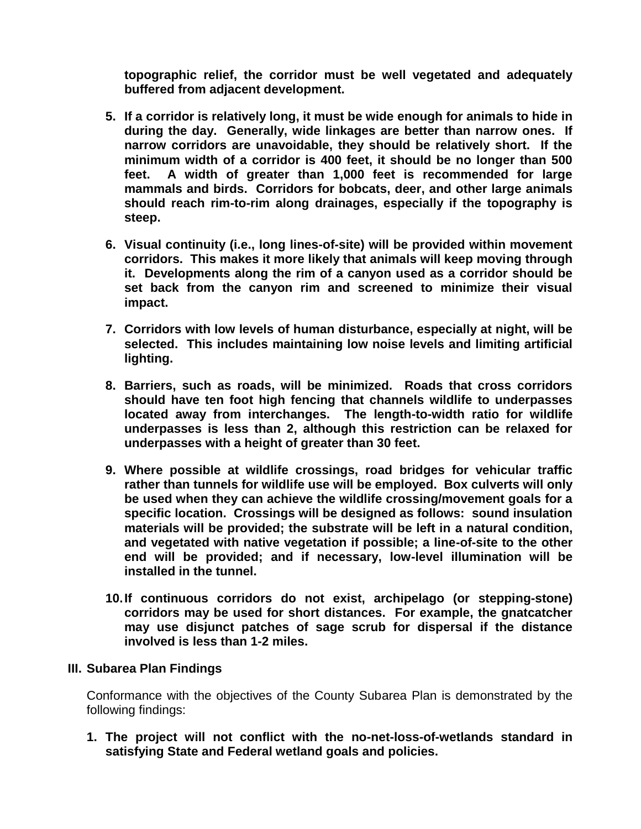**topographic relief, the corridor must be well vegetated and adequately buffered from adjacent development.**

- **5. If a corridor is relatively long, it must be wide enough for animals to hide in during the day. Generally, wide linkages are better than narrow ones. If narrow corridors are unavoidable, they should be relatively short. If the minimum width of a corridor is 400 feet, it should be no longer than 500 feet. A width of greater than 1,000 feet is recommended for large mammals and birds. Corridors for bobcats, deer, and other large animals should reach rim-to-rim along drainages, especially if the topography is steep.**
- **6. Visual continuity (i.e., long lines-of-site) will be provided within movement corridors. This makes it more likely that animals will keep moving through it. Developments along the rim of a canyon used as a corridor should be set back from the canyon rim and screened to minimize their visual impact.**
- **7. Corridors with low levels of human disturbance, especially at night, will be selected. This includes maintaining low noise levels and limiting artificial lighting.**
- **8. Barriers, such as roads, will be minimized. Roads that cross corridors should have ten foot high fencing that channels wildlife to underpasses located away from interchanges. The length-to-width ratio for wildlife underpasses is less than 2, although this restriction can be relaxed for underpasses with a height of greater than 30 feet.**
- **9. Where possible at wildlife crossings, road bridges for vehicular traffic rather than tunnels for wildlife use will be employed. Box culverts will only be used when they can achieve the wildlife crossing/movement goals for a specific location. Crossings will be designed as follows: sound insulation materials will be provided; the substrate will be left in a natural condition, and vegetated with native vegetation if possible; a line-of-site to the other end will be provided; and if necessary, low-level illumination will be installed in the tunnel.**
- **10.If continuous corridors do not exist, archipelago (or stepping-stone) corridors may be used for short distances. For example, the gnatcatcher may use disjunct patches of sage scrub for dispersal if the distance involved is less than 1-2 miles.**

# **III. Subarea Plan Findings**

Conformance with the objectives of the County Subarea Plan is demonstrated by the following findings:

**1. The project will not conflict with the no-net-loss-of-wetlands standard in satisfying State and Federal wetland goals and policies.**